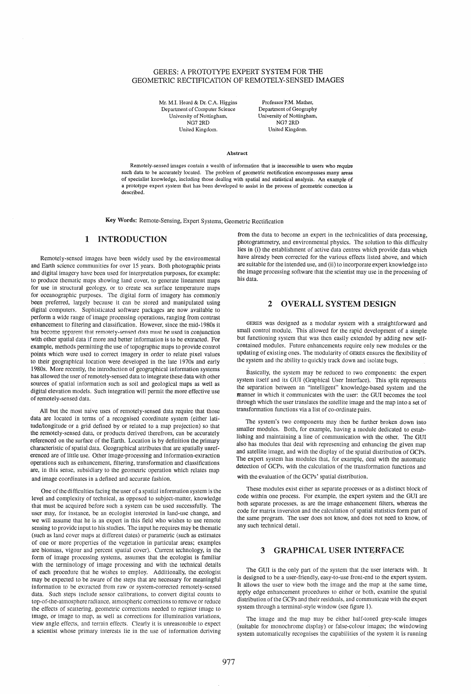#### GERES: A PROTOTYPE EXPERT SYSTEM FOR THE GEOMETRIC RECTIFICATION OF REMOTELY-SENSED IMAGES

Mr. M.I. Heard & Dr. C.A. Higgins Department of Computer Science University of Nottingham, NG7 2RD<br>United Kingdom

Professor P.M. Mather, Department of Geography University of Nottingham, NG72RD United Kingdom.

#### Abstract

Remotely-sensed images contain a wealth of information that is inaccessible to users who require such data to be accurately located. The problem of geometric rectification encompasses many areas of specialist knowledge, including those dealing with spatial and statistical analysis. An example of a prototype expert system that has been developed to assist in the process of geometric correction is described.

Key Words: Remote-Sensing, Expert Systems, Geometric Rectification

### 1 INTRODUCTION

Remotely-sensed images have been widely used by the environmental and Earth science communities for over 15 years. Both photographic prints and digital imagery have been used for interpretation purposes, for example: to produce thematic maps showing land cover, to generate lineament maps for use in structural geology, or to create sea surface temperature maps for oceanographic purposes. The digital form of imagery has commonly been preferred, largely because it can be stored and manipulated using digital computers. Sophisticated software packages are now available to perform a wide range of image processing operations, ranging from contrast enhancement to filtering and classification. However, since the mid-1980s it has become apparent that remotely-sensed data must be used in conjunction with other spatial data if more and better information is to be extracted. For example, methods permitting the use of topographic maps to provide control points which were used to correct imagery in order to relate pixel values to their geographical location were developed in the late 1970s and early 1980s. More recently, the introduction of geographical information systems has allowed the user ofremotely-sensed data to integrate these data with other sources of spatial information such as soil and geological maps as well as digital elevation models. Such integration will permit the more effective use of remotely-sensed data.

All but the most naive uses of remotely-sensed data require that those data are located in terms of a recognised coordinate system (either latitude/longitude or a grid defined by or related to a map projection) so that the remotely-sensed data, or products derived therefrom, can be accurately referenced on the surface of the Earth. Location is by definition the primary characteristic of spatial data. Geographical attributes that are spatially unreferenced are of little use. Other image-processing and information-extraction operations such as enhancement, filtering, transformation and classifications are, in this sense, subsidiary to the geometric operation which relates map and image coordinates in a defined and accurate fashion.

One of the difficulties facing the user of a spatial information system is the level and complexity of technical, as opposed to subject-matter, knowledge that must be acquired before such a system can be used successfully. The user may, for instance, be an ecologist interested in land-use change, and we will assume that he is an expert in this field who wishes to use remote sensing to provide input to his studies. The input he requires may be thematic (such as land cover maps at different dates) or parametric (such as estimates of one or more properties of the vegetation in particular areas; examples are biomass, vigour and percent spatial cover). Current technology, in the form of image processing systems, assumes that the ecologist is familiar with the terminology of image processing and with the technical details of each procedure that he wishes to employ. Additionally, the ecologist may be expected to be aware of the steps that are necessary for meaningful information to be extracted from raw or system-corrected remotely-sensed data. Such steps include sensor calibrations, to convert digital counts to top-of-the-atmosphereradiance, atmospheric corrections to remove or reduce the effects of scattering, geometric corrections needed to register image to image, or image to map, as well as corrections for illumination variations, view angle effects, and terrain effects. Clearly it is unreasonable to expect a scientist whose primary interests lie in the use of information deriving from the data to become an expert in the technicalities of data processing, photogrammetry, and environmental physics. The solution to this difficulty lies in (i) the establishment of active data centres which provide data which have already been corrected for the various effects listed above, and which are suitable for the intended use, and (ii) to incorporate expert knowledge into the image processing software that the scientist may use in the processing of his data.

#### 2 OVERALL SYSTEM DESIGN

GERES was designed as a modular system with a straightforward and small control module. This allowed for the rapid development of a simple but functioning system that was then easily extended by adding new selfcontained modules. Future enhancements require only new modules or the updating of existing ones. The modularity of GERES ensures the flexibility of the system and the ability to quickly track down and isolate bugs.

Basically, the system may be reduced to two components: the expert system itself and its GUI (Graphical User Interface). This split represents the separation between an "intelligent" knowledge-based system and the manner in which it communicates with the user: the GUI becomes the tool through which the user translates the satellite image and the map into a set of transformation functions via a list of co-ordinate pairs.

The system's two components may then be further broken down into smaller modules. Both, for example, having a module dedicated to establishing and maintaining a line of communication with the other. The GUI also has modules that deal with representing and enhancing the given map and satellite image, and with the display of the spatial distribution of GCPs. The expert system has modules that, for example, deal with the automatic detection of GCPs, with the calculation of the transformation functions and with the evaluation of the GCPs' spatial distribution.

These modules exist either as separate processes or as a distinct block of code within one process. For example, the expert system and the GUI are both separate processes, as are the image enhancement filters, whereas the code for matrix inversion and the calculation of spatial statistics form part of the same program. The user does not know, and does not need to know, of any such technical detail.

# 3 GRAPHICAL USER INTERFACE

The GUI is the only part of the system that the user interacts with. It is designed to be a user-friendly, easy-to-use front-end to the expert system. It allows the user to view both the image and the map at the same time, apply edge enhancement procedures to either or both, examine the spatial distribution of the GCPs and their residuals, and communicate with the expert system through a terminal-style window (see figure 1).

The image and the map may be either half-toned grey-scale images (suitable for monochrome display) or false-colour images; the windowing system automatically recognises the capabilities of the system it is running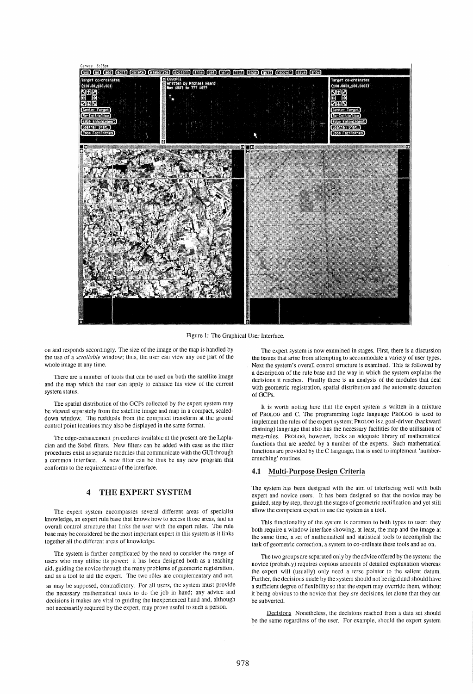

Figure 1: The Graphical User Interface.

on and responds accordingly. The size of the image or the map is handled by the use of a *scrollable* window; thus, the user can view anyone part of the whole image at any time.

There are a number of tools that can be used on both the satellite image and the map which the user can apply to enhance his view of the current system status.

The spatial distribution of the GCPs collected by the expert system may be viewed separately from the satellite image and map in a compact, scaleddown window. The residuals from the computed transform at the ground control point locations may also be displayed in the same format.

The edge-enhancement procedures available at the present are the Laplacian and the Sobel filters. New filters can be added with ease as the filter procedures exist as separate modules that communicate with the GUI through a common interface. A new filter can be thus be any new program that conforms to the requirements of the interface.

# 4 THE EXPERT SYSTEM

The expert system encompasses several different areas of specialist knowledge, an expert rule base that knows how to access those areas, and an overall control structure that links the user with the expert rules. The rule base may be considered be the most important expert in this system as it links together all the different areas of knowledge.

The system is further complicated by the need to consider the range of users who may utilise its power: it has been designed both as a teaching aid, guiding the novice through the many problems of geometric registration, and as a tool to aid the expert. The two rôles are complementary and not, as may be supposed, contradictory. For all users, the system must provide the necessary mathematical tools to do the job in hand; any advice and decisions it makes are vital to guiding the inexperienced hand and, although not necessarily required by the expert, may prove useful to such a person.

The expert system is now examined in stages. First, there is a discussion the issues that arise from attempting to accommodate a variety of user types. Next the system's overall control structure is examined. This is followed by a description of the rule base and the way in which the system explains the decisions it reaches. Finally there is an analysis of the modules that deal with geometric registration, spatial distribution and the automatic detection of GCPs.

It is worth noting here that the expert system is written in a mixture of PROLOG and C. The programming logic language PROLOG is used to implement the rules of the expert system; PROLOG is a goal-driven (backward chaining) language that also has the necessary facilities for the utilisation of meta-rules. PROLOG, however, lacks an adequate library of mathematical functions that are needed by a number of the experts. Such mathematical functions are provided by the C language, that is used to implement 'numbercrunching' routines.

#### **4.1** Multi-Purpose Design Criteria

The system has been designed with the aim of interfacing well with both expert and novice users. It has been designed so that the novice may be guided, step by step, through the stages of geometric rectification and yet still allow the competent expert to use the system as a tool.

This functionality of the system is common to both types to user: they both require a window interface showing, at least, the map and the image at the same time, a set of mathematical and statistical tools to accomplish the task of geometric correction, a system to co-ordinate these tools and so on.

The two groups are separated only by the advice offered by the system: the novice (probably) requires copious amounts of detailed explanation whereas the expert will (usually) only need a terse pointer to the salient datum. Further, the decisions made by the system should not be rigid and should have a sufficient degree of flexibility so that the expert may override them, without it being obvious to the novice that they *are* decisions, let alone that they can be subverted.

Decisions Nonetheless, the decisions reached from a data set should be the same regardless of the user. For example, should the expert system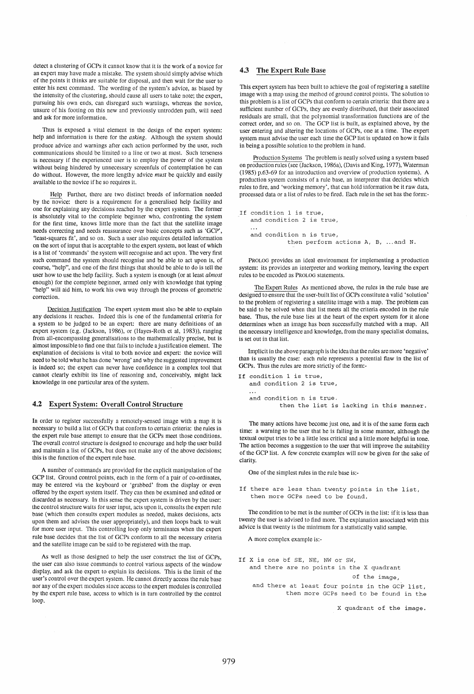detect a clustering of GCPs it cannot know that it is the work of a novice for an expert may have made a mistake. The system should simply advise which of the points it thinks are suitable for disposal, and then wait for the user to enter his next command. The wording of the system's advice, as biased by the intensity of the clustering, should cause all users to take note; the expert, pursuing his own ends, can disregard such warnings, whereas the novice, unsure of his footing on this new and previously untrodden path, will need and ask for more information.

Thus is exposed a vital element in the design of the expert system: help and information is there for the *asking.* Although the system should produce advice and warnings after each action performed by the user, such communications should be limited to a line or two at most. Such terseness is necessary if the experienced user is to employ the power of the system without being hindered by unnecessary screenfuls of contemplation he can do without. However, the more lengthy advice *must* be quickly and easily available to the novice if he so requires it.

Help Further, there are two distinct breeds of information needed by the novice: there is a requirement for a generalised help facility and one for explaining any decisions reached by the expert system. The former is absolutely vital to the complete beginner who, confronting the system for the first time, knows little more than the fact that the satellite image needs correcting and needs reassurance over basic concepts such as 'GCP'. 'least-squares fit', and so on. Such a user also requires detailed information on the sort of input that is acceptable to the expert system, not least of which is a list of 'commands' the system will recognise and act upon. The very first such command the system should recognise and be able to act upon is, of course, "help", and one of the first things that should be able to do is tell the user how to use the help facility. Such a system is enough (or at least *almost*  enough) for the complete beginner, armed only with knowledge that typing "help" will aid him, to work his own way through the process of geometric correction.

Decision Justification The expert system must also be able to explain any decisions it reaches. Indeed this is one of the fundamental criteria for a system to be judged to be an expert: there are many definitions of an expert system (e.g. (Jackson, 1986), or (Hayes-Roth et ai, 1983)), ranging from all-encompassing generalisations to the mathematically precise, but is almost impossible to find one that fails to include a justification element. The explanation of decisions is vital to both novice and expert: the novice will need to be told what he has done 'wrong' and why the suggested improvement is indeed so; the expert can never have confidence in a complex tool that cannot clearly exhibit its line of reasoning and, conceivably, might lack knowledge in one particular area of the system.

## 4.2 Expert System: Overall Control Structure

In order to register successfully a remotely-sensed image with a map it is necessary to build a list of GCPs that conform to certain criteria: the rules in the expert rule base attempt to ensure that the GCPs meet those conditions. The overall control structure is designed to encourage and help the user build and maintain a list of GCPs, but does not make any of the above decisions; this is the function of the expert rule base.

A number of commands are provided for the explicit manipulation of the GCP list. Ground control points, each in the form of a pair of co-ordinates, may be entered via the keyboard or 'grabbed' from the display or even offered by the expert system itself. They can then be examined and edited or discarded as necessary. In this sense the expert system is driven by the user: the control structure waits for user input, acts upon it, consults the expert rule base (which then consults expert modules as needed, makes decisions, acts upon them and advises the user appropriately), and then loops back to wait for more user input. 'This controlling loop only terminates when the expert rule base decides that the list of GCPs conform to all the necessary criteria and the satellite image can be said to be registered with the map.

As well as those designed to help the user construct the list of GCPs, the user can also issue commands to control various aspects of the window display, and ask the expert to explain its decisions. This is the limit of the user's control over the expert system. He cannot directly access the rule base nor any of the expert modules since access to the expert modules is controlled by the expert rule base, access to which is in turn controlled by the control loop.

### 4.3 The Expert Rule Base

This expert system has been built to achieve the goal of registering a satellite image with a map using the method of ground control points. The solution to this problem is a list of GCPs that conform to certain criteria: that there are a sufficient number of GCPs, they are evenly distributed, that their associated residuals are small, that the polynomial transformation functions are of the correct order, and so on. The GCP list is built, as explained above, by the user entering and altering the locations of GCPs, one at a time. The expert system must advise the user each time the GCP list is updated on how it fails in being a possible solution to the problem in hand.

Production Systems The problem is neatly solved using a system based on production rules (see (Jackson, 1986a), (Davis and King, 1977), Waterman (1985) p.63-69 for an introduction and overview of production systems). A production system consists of a rule base, an interpreter that decides which rules to fire, and 'working memory', that can hold information be it raw data, processed data or a list of rules to be fired. Each rule in the set has the form:-

```
If condition 1 is true, 
and condition 2 is true, 
and condition n is true, 
           then perform actions A, B, ... and N.
```
PROLOG provides an ideal environment for implementing a production system: its provides an interpreter and working memory, leaving the expert rules to be encoded as PROLOG statements.

The Expert Rules As mentioned above, the rules in the rule base are designed to ensure that the user-built list of GCPs constitute a valid 'solution' to the problem of registering a satellite image with a map. The problem can be said to be solved when that list meets all the criteria encoded in the rule base. Thus, the rule base lies at the heart of the expert system for it alone determines when an image has been successfully matched with a map. All the necessary intelligence and knowledge, from the many specialist domains, is set out in that list.

Implicit in the above paragraph is the idea that the rules are more 'negative' than is usually the case: each rule represents a potential flaw in the list of GCPs. Thus the rules are more strictly of the form:-

```
If condition 1 is true, 
and condition 2 is true, 
and condition n is true. 
        then the list is lacking in this manner.
```
The many actions have become just one, and it is of the same form each time: a warning to the user that he is failing in some manner, although the textual output tries to be a little less critical and a little more helpful in tone. The action becomes a suggestion to the user that will improve the suitability of the GCP list. A few concrete examples will now be given for the sake of clarity.

One of the simplest rules in the rule base is:-

If there are less than twenty points in the list, then more GCPs need to be found.

The condition to be met is the number of GCPs in the list: if it is less than twenty the user is advised to find more. The explanation associated with this advice is that twenty is the minimum for a statistically valid sample.

A more complex example is:-

If X is one of SE, NE, NW or SW, and there are no points in the X quadrant

of the image,

and there at least four points in the GCP list, then more GCPs need to be found in the

X quadrant of the image.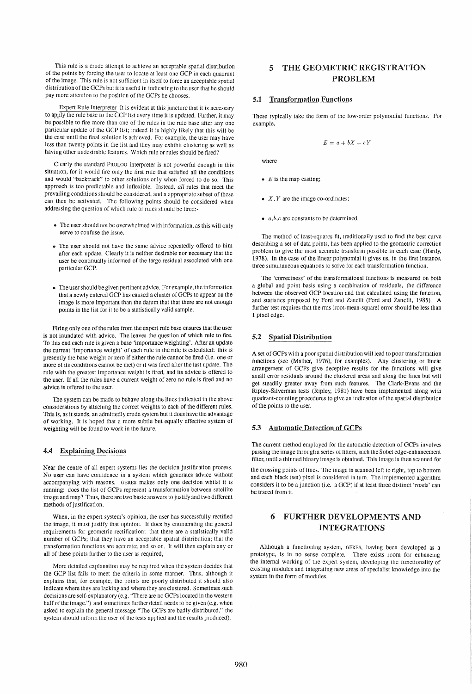This rule is a crude attempt to achieve an acceptable spatial distribution of the points by forcing the user to locate at least one GCP in each quadrant of the image. This rule is not sufficient in itself to force an acceptable spatial distribution of the GCPs but it is useful in indicating to the user that he should pay more attention to the position of the GCPs he chooses.

Expert Rule Interpreter It is evident at this juncture that it is necessary to apply the rule base to the GCP list every time it is updated. Further, it may be possible to fire more than one of the rules in the rule base after any one particular update of the GCP list; indeed it is highly likely that this will be the case until the final solution is achieved. For example, the user may have less than twenty points in the list and they may exhibit clustering as well as having other undesirable features. Which rule or rules should be fired?

Clearly the standard PROLOG interpreter is not powerful enough in this situation, for it would fire only the first rule that satisfied all the conditions and would "backtrack" to other solutions only when forced to do so. This approach is too predictable and inflexible. Instead, all rules that meet the prevailing conditions should be considered, and a appropriate subset of these can then be activated. The following points should be considered when addressing the question of which rule or rules should be fired:-

- The user should not be overwhelmed with information, as this will only serve to confuse the issue.
- The user should not have the same advice repeatedly offered to him after each update. Clearly it is neither desirable nor necessary that the user be continually informed of the large residual associated with one particular GCP.
- The user should be given pertinent advice. For example, the information that a newly entered GCP has caused a cluster of GCPs to appear on the image is more important than the datum that that there are not enough points in the list for it to be a statistically valid sample.

Firing only one of the rules from the expert rule base ensures that the user is not inundated with advice. 'The leaves the question of which rule to fire. To this end each rule is given a base 'importance weighting'. After an update the current 'importance weight' of each rule in the rule is calculated: this is presently the base weight or zero if either the rule cannot be fired (i.e. one or more of its conditions cannot be met) or it was fired after the last update. The rule with the greatest importance weight is fired, and its advice is offered to the user. If all the rules have a current weight of zero no rule is fired and no advice is offered to the user.

The system can be made to behave along the lines indicated in the above considerations by attaching the correct weights to each of the different rules. This is, as it stands, an admittedly crude system but it does have the advantage of working. It is hoped that a more subtle but equally effective system of weighting will be found to work in the future.

### 4.4 Explaining Decisions

Near the centre of all expert systems lies the decision justification process. No user can have confidence in a system which generates advice without accompanying with reasons. GERES makes only one decision whilst it is running: does the list of GCPs represent a transformation between satellite image and map? Thus, there are two basic answers to justify and two different methods of justification.

When, in the expert system's opinion, the user has successfully rectified the image, it must justify that opinion. It does by enumerating the general requirements for geometric rectification: that there are a statistically valid number of GCPs; that they have an acceptable spatial distribution; that the transformation functions are accurate; and so on. It will then explain any or all of these points further to the user as required,

More detailed explanation may be required when the system decides that the GCP list fails to meet the criteria in some manner. Thus, although it explains that, for example, the points are poorly distributed it should also indicate where they are lacking and where they are clustered. Sometimes such decisions are self-explanatory (e.g. "There are no GCPs located in the western half of the image.") and sometimes further detail needs to be given (e.g. when asked to explain the general message "The GCPs are badly distributed." the system should inform the user of the tests applied and the results produced).

# 5 THE GEOMETRIC REGISTRATION PROBLEM

### 5.1 Transformation Functions

These typically take the form of the low-order polynomial functions. For example,

$$
E = a + bX + cY
$$

where

- *E* is the map easting;
- $X, Y$  are the image co-ordinates;
- *a,b,c* are constants to be determined.

The method of least-squares fit, traditionally used to find the best curve describing a set of data points, has been applied to the geometric correction problem to give the most accurate transform possible in each case (Hardy, 1978). In the case of the linear polynomial it gives us, in the first instance, three simultaneous equations to solve for each transformation function.

The 'correctness' of the transformational functions is measured on both a global and point basis using a combination of residuals, the difference between the observed GCP location and that calculated using the function, and statistics proposed by Ford and Zanelli (Ford and Zanelli, 1985). A further test requires that the rms (root-mean-square) error should be less than 1 pixel edge.

### 5.2 Spatial Distribution

A set of GCPs with a poor spatial distribution will lead to poor transformation functions (see (Mather, 1976), for examples). Any clustering or linear arrangement of GCPs give deceptive results for the functions will give small error residuals around the clustered areas and along the lines but will get steadily greater away from such features. The Clark-Evans and the Ripley-Silverman tests (Ripley, 1981) have been implemented along with quadrant-counting procedures to give an indication of the spatial distribution of the points to the user.

#### 5.3 Automatic Detection of GCPs

The current method employed for the automatic detection of GCPs involves passing the image through a series of filters, such the Sobel edge-enhancement filter, until a thinned binary image is obtained. This image is then scanned for

the crossing points of lines. The image is scanned left to right, top to bottom and each black (set) pixel is considered in turn. The implemented algorithm considers it to be a junction (i.e. a GCP) if at least three distinct 'roads' can be traced from it.

# 6 FURTHER DEVELOPMENTS AND INTEGRATIONS

Although a functioning system, GERES, having been developed as a prototype, is in no sense complete. There exists room for enhancing the internal working of the expert system, developing the functionality of existing modules and integrating new areas of specialist knowledge into the system in the form of modules.